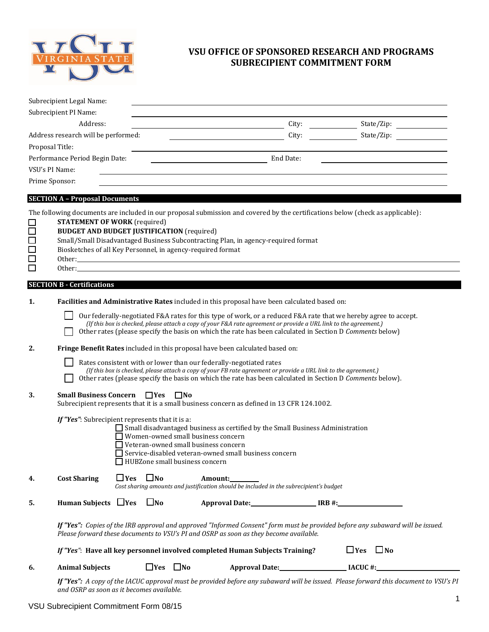

## **VSU OFFICE OF SPONSORED RESEARCH AND PROGRAMS SUBRECIPIENT COMMITMENT FORM**

| Subrecipient Legal Name:              |           |            |
|---------------------------------------|-----------|------------|
| Subrecipient PI Name:                 |           |            |
| Address:                              | City:     | State/Zip: |
| Address research will be performed:   | City:     | State/Zip: |
| Proposal Title:                       |           |            |
| Performance Period Begin Date:        | End Date: |            |
| VSU's PI Name:                        |           |            |
| Prime Sponsor:                        |           |            |
| <b>SECTION A - Proposal Documents</b> |           |            |

The following documents are included in our proposal submission and covered by the certifications below (check as applicable):

| <b>STATEMENT OF WORK</b> (required)                                               |
|-----------------------------------------------------------------------------------|
| <b>BUDGET AND BUDGET JUSTIFICATION (required)</b>                                 |
| Small/Small Disadvantaged Business Subcontracting Plan, in agency-required format |
| Biosketches of all Key Personnel, in agency-required format                       |
| Other:                                                                            |
| Other:                                                                            |

## **SECTION B - Certifications**

| <b>Facilities and Administrative Rates</b> included in this proposal have been calculated based on: |  |
|-----------------------------------------------------------------------------------------------------|--|
|                                                                                                     |  |

Our federally-negotiated F&A rates for this type of work, or a reduced F&A rate that we hereby agree to accept.  *(If this box is checked, please attach a copy of your F&A rate agreement or provide a URL link to the agreement.)*  Other rates (please specify the basis on which the rate has been calculated in Section D *Comments* below) **2. Fringe Benefit Rates** included in this proposal have been calculated based on:

- Rates consistent with or lower than our federally-negotiated rates
	- *(If this box is checked, please attach a copy of your FB rate agreement or provide a URL link to the agreement.)*
	- Other rates (please specify the basis on which the rate has been calculated in Section D *Comments* below).
- **3.** Small Business Concern  $\Box$  Yes  $\Box$  No

*If "Yes"*: Subrecipient represents that it is a:

- $\Box$  Small disadvantaged business as certified by the Small Business Administration
- Women-owned small business concern
- Veteran-owned small business concern
- Service-disabled veteran-owned small business concern
- HUBZone small business concern

| 4. | <b>Cost Sharing</b> | $\Box$ Yes $\Box$ No<br>Amount:                                                        |
|----|---------------------|----------------------------------------------------------------------------------------|
|    |                     | Cost sharing amounts and justification should be included in the subrecipient's budget |
|    |                     |                                                                                        |

| J. | <b>Human Subjects</b> | $\sqcup$ Yes | JNo | <b>Approval Date:</b> | IRB #: |
|----|-----------------------|--------------|-----|-----------------------|--------|
|    |                       |              |     |                       |        |

*If "Yes": Copies of the IRB approval and approved "Informed Consent" form must be provided before any subaward will be issued. Please forward these documents to VSU's PI and OSRP as soon as they become available.* 

|                        | If "Yes": Have all key personnel involved completed Human Subjects Training? | $\Box$ Yes<br>$\Box$ No |         |
|------------------------|------------------------------------------------------------------------------|-------------------------|---------|
| <b>Animal Subiects</b> | $\Box$ Yes<br>$\Box$ No                                                      | <b>Approval Date:</b>   | IACUC#: |

*If "Yes": A copy of the IACUC approval must be provided before any subaward will be issued. Please forward this document to VSU's PI and OSRP as soon as it becomes available.*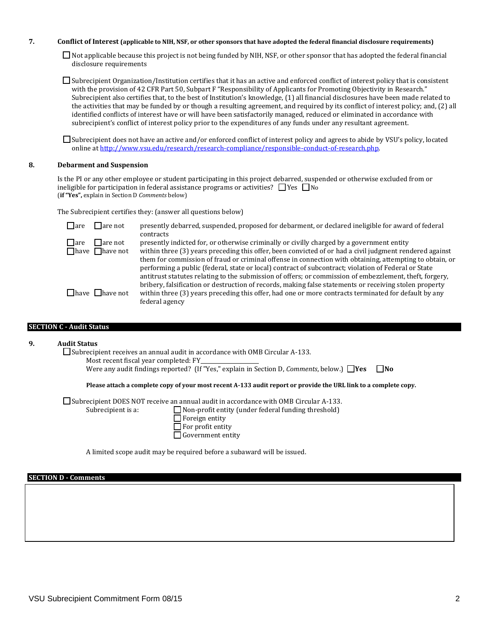#### **7. Conflict of Interest (applicable to NIH, NSF, or other sponsors that have adopted the federal financial disclosure requirements)**

Not applicable because this project is not being funded by NIH, NSF, or other sponsor that has adopted the federal financial disclosure requirements

Subrecipient Organization/Institution certifies that it has an active and enforced conflict of interest policy that is consistent with the provision of 42 CFR Part 50, Subpart F "Responsibility of Applicants for Promoting Objectivity in Research." Subrecipient also certifies that, to the best of Institution's knowledge, (1) all financial disclosures have been made related to the activities that may be funded by or though a resulting agreement, and required by its conflict of interest policy; and, (2) all identified conflicts of interest have or will have been satisfactorily managed, reduced or eliminated in accordance with subrecipient's conflict of interest policy prior to the expenditures of any funds under any resultant agreement.

Subrecipient does not have an active and/or enforced conflict of interest policy and agrees to abide by VSU's policy, located online at http://www.vsu.edu/research/research-compliance/responsible-conduct-of-research.php.

#### **8. Debarment and Suspension**

Is the PI or any other employee or student participating in this project debarred, suspended or otherwise excluded from or ineligible for participation in federal assistance programs or activities?  $\Box$  Yes  $\Box$  No (**if "Yes",** explain in Section D *Comments* below)

The Subrecipient certifies they: (answer all questions below)

| $\Box$ are | l lare not                  | presently debarred, suspended, proposed for debarment, or declared ineligible for award of federal                                                                                                                |
|------------|-----------------------------|-------------------------------------------------------------------------------------------------------------------------------------------------------------------------------------------------------------------|
| $\Box$ are | <b>□</b> are not            | contracts<br>presently indicted for, or otherwise criminally or civilly charged by a government entity                                                                                                            |
|            | $\Box$ have $\Box$ have not | within three (3) years preceding this offer, been convicted of or had a civil judgment rendered against                                                                                                           |
|            |                             | them for commission of fraud or criminal offense in connection with obtaining, attempting to obtain, or<br>performing a public (federal, state or local) contract of subcontract; violation of Federal or State   |
|            |                             | antitrust statutes relating to the submission of offers; or commission of embezzlement, theft, forgery,<br>bribery, falsification or destruction of records, making false statements or receiving stolen property |
|            | $\Box$ have $\Box$ have not | within three (3) years preceding this offer, had one or more contracts terminated for default by any<br>federal agency                                                                                            |

## **SECTION C - Audit Status**

## **9. Audit Status**

 $\square$  Subrecipient receives an annual audit in accordance with OMB Circular A-133.

Most recent fiscal year completed: FY

Were any audit findings reported? (If "Yes," explain in Section D, *Comments*, below.)  $\Box$ **Yes**  $\Box$ **No** 

**Please attach a complete copy of your most recent A-133 audit report or provide the URL link to a complete copy.** 

 $\Box$  Subrecipient DOES NOT receive an annual audit in accordance with OMB Circular A-133.

Subrecipient is a:  $\Box$  Non-profit entity (under federal funding threshold)

| JUDI CUIJICIIL IS A. | $\Box$                   |
|----------------------|--------------------------|
|                      | $\Box$ Foreign entity    |
|                      | $\Box$ For profit entity |

Government entity

A limited scope audit may be required before a subaward will be issued.

#### **SECTION D - Comments**